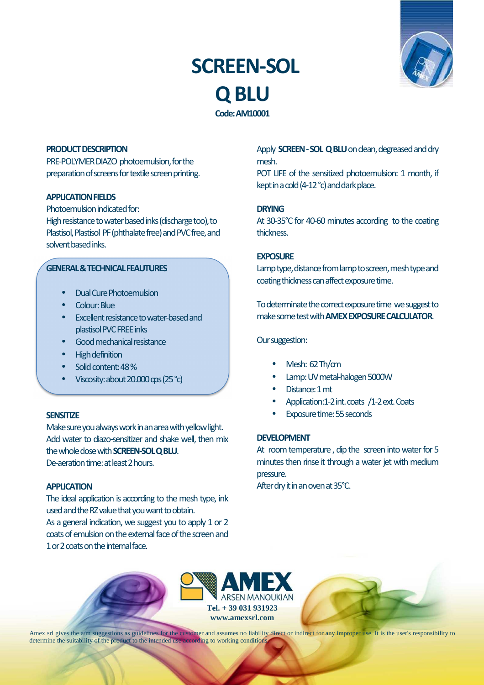# **SCREEN-SOL Q BLU Code: AM10001**



# **PRODUCT DESCRIPTION**

PRE-POLYMER DIAZO photoemulsion, for the preparation of screens for textile screen printing.

## **APPLICATION FIELDS**

Photoemulsion indicated for:

High resistance to water based inks (discharge too), to Plastisol, Plastisol PF (phthalate free) and PVC free, and solvent based inks.

# **GENERAL & TECHNICAL FEALITURES**

- Dual Cure Photoemulsion
- Colour: Blue
- Excellent resistance to water-based and plastisol PVC FREE inks
- Good mechanical resistance
- High definition
- Solid content: 48 %
- Viscosity: about 20.000 cps (25 °c)

### **SENSITIZE**

Make sure you always work in an area with yellow light. Add water to diazo-sensitizer and shake well, then mix the whole dose with **SCREEN-SOL Q BLU**. De-aeration time: at least 2 hours.

## **APPLICATION**

The ideal application is according to the mesh type, ink used and the RZ value that you want to obtain.

As a general indication, we suggest you to apply 1 or 2 coats of emulsion on the external face of the screen and 1 or 2 coats on the internal face.

Apply **SCREEN - SOL Q BLU** on clean, degreased and dry mesh.

POT LIFE of the sensitized photoemulsion: 1 month, if kept in a cold (4-12 °c) and dark place.

# **DRYING**

At 30-35°C for 40-60 minutes according to the coating thickness.

## **EXPOSURE**

Lamp type, distance from lamp to screen, mesh type and coating thickness can affect exposure time.

To determinate the correct exposure time we suggest to make some test with **AMEX EXPOSURE CALCULATOR**.

#### Our suggestion:

- Mesh: 62 Th/cm
- Lamp: UV metal-halogen 5000W
- Distance: 1 mt
- Application:1-2 int. coats /1-2 ext. Coats
- Exposure time: 55 seconds

## **DEVELOPMENT**

At room temperature , dip the screen into water for 5 minutes then rinse it through a water jet with medium pressure.

After dry it in an oven at 35°C.





Amex srl gives the a/m suggestions as guidelines for the customer and assumes no liability direct or indirect for any improper use. It is the user's responsibility to determine the suitability of the product to the intended use according to working conditions.